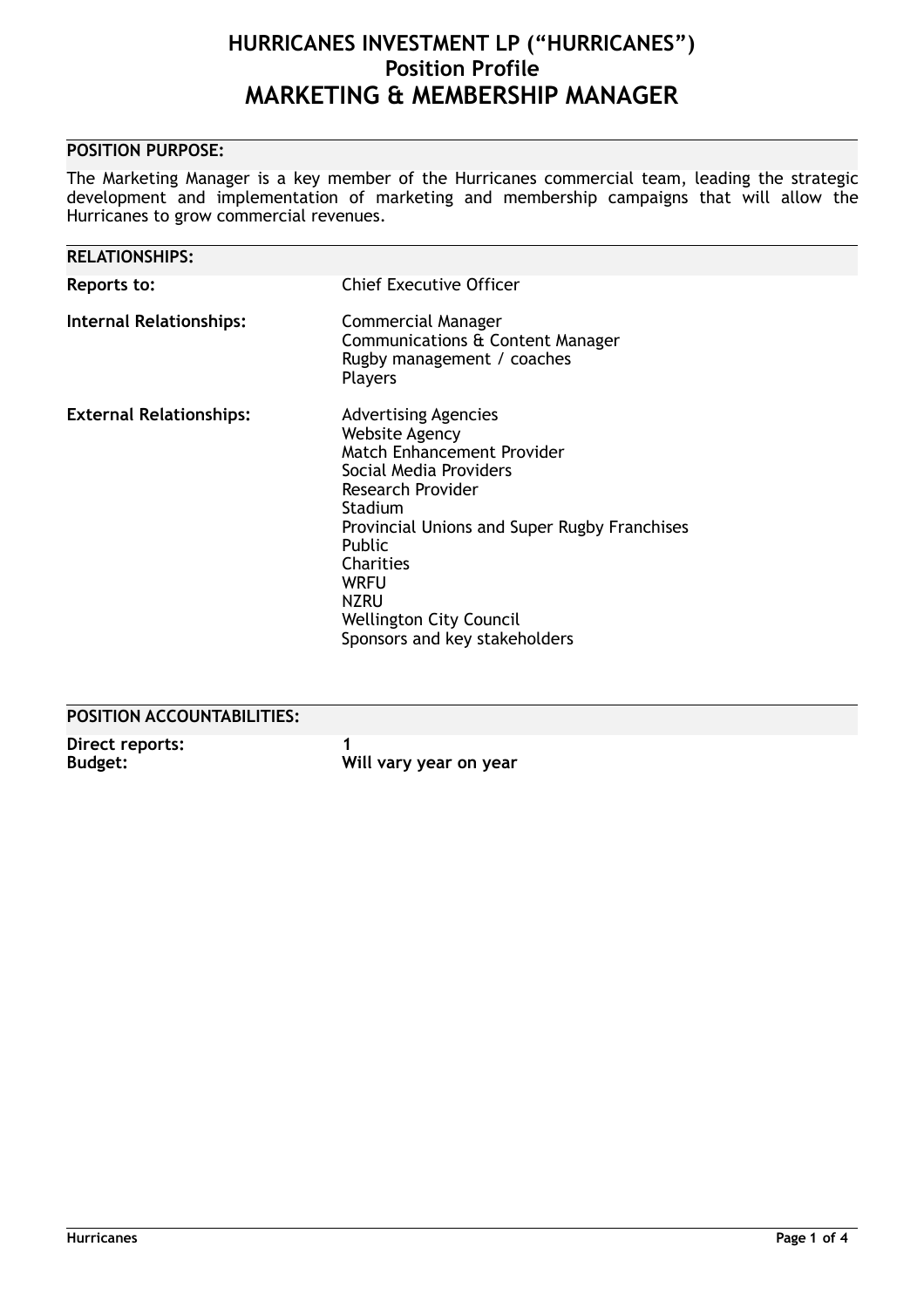# **POSITION PURPOSE:**

The Marketing Manager is a key member of the Hurricanes commercial team, leading the strategic development and implementation of marketing and membership campaigns that will allow the Hurricanes to grow commercial revenues.

| <b>RELATIONSHIPS:</b>          |                                                                                                                                                                                                                                                                                                                             |
|--------------------------------|-----------------------------------------------------------------------------------------------------------------------------------------------------------------------------------------------------------------------------------------------------------------------------------------------------------------------------|
| Reports to:                    | <b>Chief Executive Officer</b>                                                                                                                                                                                                                                                                                              |
| <b>Internal Relationships:</b> | <b>Commercial Manager</b><br>Communications & Content Manager<br>Rugby management / coaches<br><b>Players</b>                                                                                                                                                                                                               |
| <b>External Relationships:</b> | <b>Advertising Agencies</b><br><b>Website Agency</b><br>Match Enhancement Provider<br>Social Media Providers<br>Research Provider<br>Stadium<br>Provincial Unions and Super Rugby Franchises<br><b>Public</b><br>Charities<br><b>WRFU</b><br><b>NZRU</b><br><b>Wellington City Council</b><br>Sponsors and key stakeholders |

# **POSITION ACCOUNTABILITIES:**

| Direct reports: |                        |
|-----------------|------------------------|
| <b>Budget:</b>  | Will vary year on year |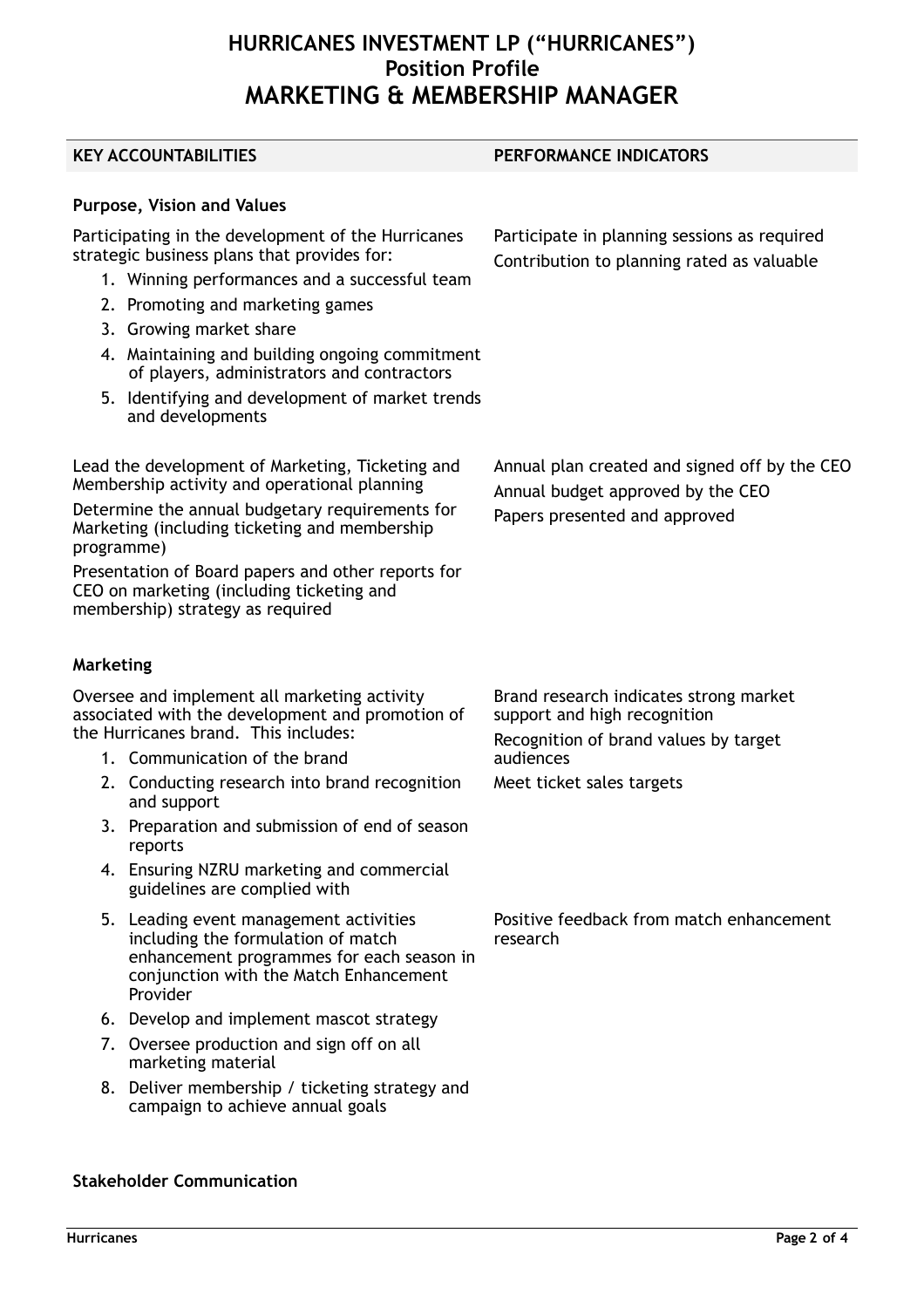**KEY ACCOUNTABILITIES PERFORMANCE INDICATORS**

**Purpose, Vision and Values**

Participating in the development of the Hurricanes strategic business plans that provides for:

- 1. Winning performances and a successful team
- 2. Promoting and marketing games
- 3. Growing market share
- 4. Maintaining and building ongoing commitment of players, administrators and contractors
- 5. Identifying and development of market trends and developments

Lead the development of Marketing, Ticketing and Membership activity and operational planning

Determine the annual budgetary requirements for Marketing (including ticketing and membership programme)

Presentation of Board papers and other reports for CEO on marketing (including ticketing and membership) strategy as required

### **Marketing**

Oversee and implement all marketing activity associated with the development and promotion of the Hurricanes brand. This includes:

- 1. Communication of the brand
- 2. Conducting research into brand recognition and support
- 3. Preparation and submission of end of season reports
- 4. Ensuring NZRU marketing and commercial guidelines are complied with
- 5. Leading event management activities including the formulation of match enhancement programmes for each season in conjunction with the Match Enhancement Provider
- 6. Develop and implement mascot strategy
- 7. Oversee production and sign off on all marketing material
- 8. Deliver membership / ticketing strategy and campaign to achieve annual goals

Brand research indicates strong market support and high recognition Recognition of brand values by target audiences Meet ticket sales targets

Positive feedback from match enhancement research

Participate in planning sessions as required Contribution to planning rated as valuable

Annual plan created and signed off by the CEO

Annual budget approved by the CEO Papers presented and approved

**Stakeholder Communication**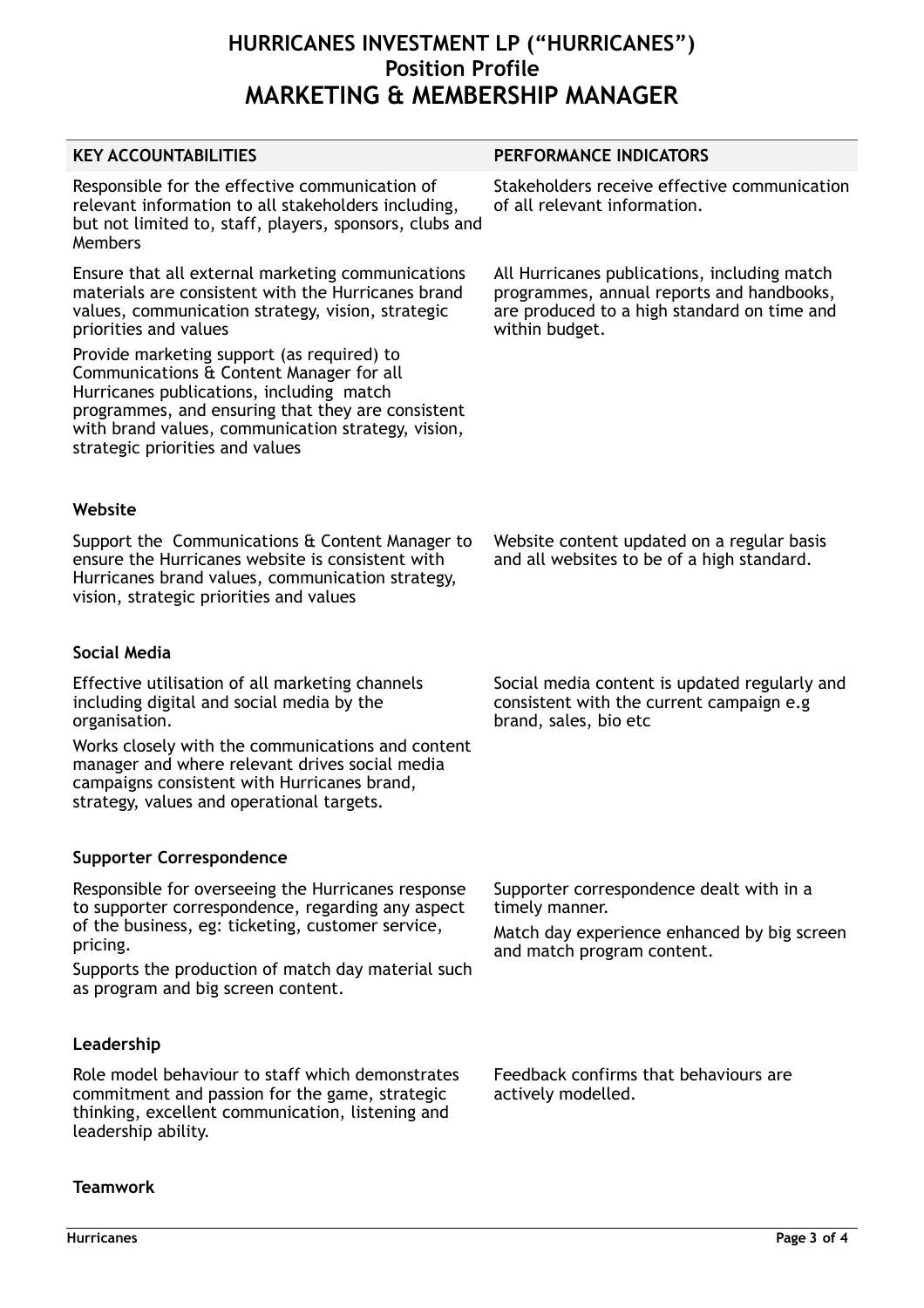| PERFORMANCE INDICATORS                                                                                                                                     |  |
|------------------------------------------------------------------------------------------------------------------------------------------------------------|--|
| Stakeholders receive effective communication<br>of all relevant information.                                                                               |  |
| All Hurricanes publications, including match<br>programmes, annual reports and handbooks,<br>are produced to a high standard on time and<br>within budget. |  |
|                                                                                                                                                            |  |
|                                                                                                                                                            |  |
| Website content updated on a regular basis<br>and all websites to be of a high standard.                                                                   |  |
|                                                                                                                                                            |  |
| Social media content is updated regularly and<br>consistent with the current campaign e.g<br>brand, sales, bio etc                                         |  |
|                                                                                                                                                            |  |
|                                                                                                                                                            |  |
| Supporter correspondence dealt with in a<br>timely manner.<br>Match day experience enhanced by big screen<br>and match program content.                    |  |
|                                                                                                                                                            |  |
| Feedback confirms that behaviours are<br>actively modelled.                                                                                                |  |
|                                                                                                                                                            |  |

**Teamwork**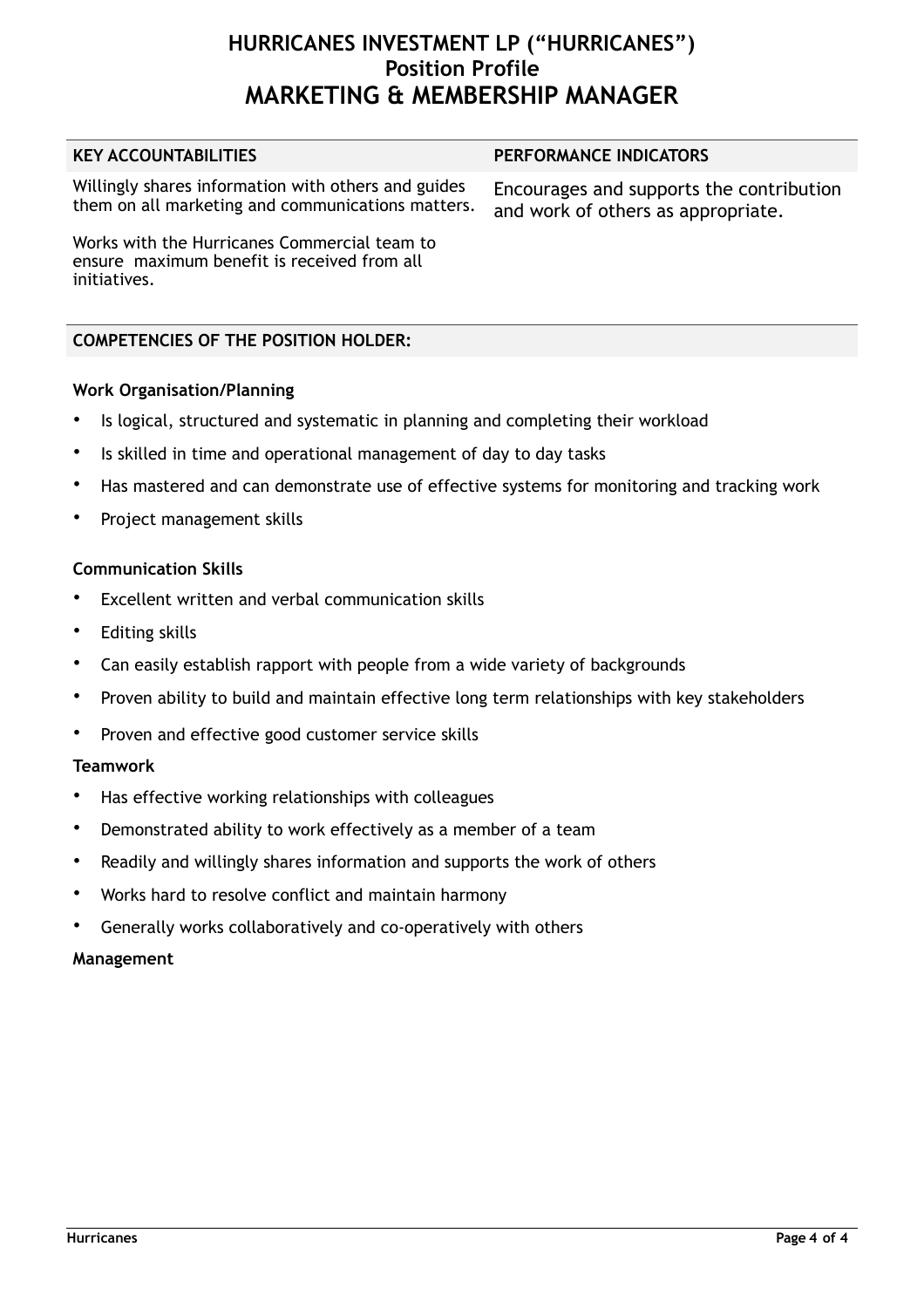#### **KEY ACCOUNTABILITIES PERFORMANCE INDICATORS**

Willingly shares information with others and guides Willingly shares information with others and guides Encourages and supports the contribution<br>them on all marketing and communications matters. and work of others as appropriate

and work of others as appropriate.

Works with the Hurricanes Commercial team to ensure maximum benefit is received from all initiatives.

## **COMPETENCIES OF THE POSITION HOLDER:**

## **Work Organisation/Planning**

- Is logical, structured and systematic in planning and completing their workload
- Is skilled in time and operational management of day to day tasks
- Has mastered and can demonstrate use of effective systems for monitoring and tracking work
- Project management skills

## **Communication Skills**

- Excellent written and verbal communication skills
- Editing skills
- Can easily establish rapport with people from a wide variety of backgrounds
- Proven ability to build and maintain effective long term relationships with key stakeholders
- Proven and effective good customer service skills

## **Teamwork**

- Has effective working relationships with colleagues
- Demonstrated ability to work effectively as a member of a team
- Readily and willingly shares information and supports the work of others
- Works hard to resolve conflict and maintain harmony
- Generally works collaboratively and co-operatively with others

## **Management**